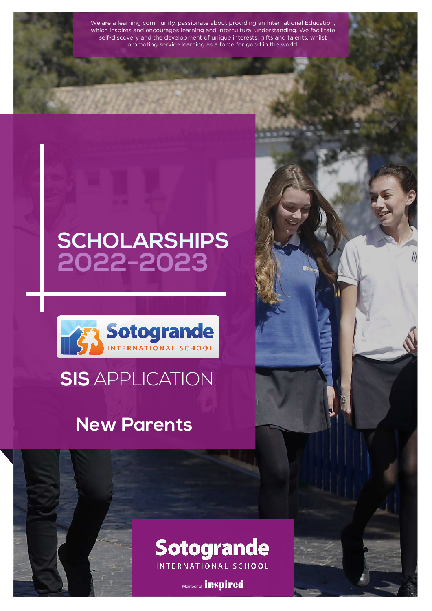We are a learning community, passionate about providing an International Education, which inspires and encourages learning and intercultural understanding. We facilitate self-discovery and the development of unique interests, gifts and talents, whilst promoting service learning as a force for good in the world.

## **SCHOLARSHIPS 2022-2023**



### **SIS** APPLICATION

### **New Parents**

# **Sotogrande**

INTERNATIONAL SCHOOL

Member of *inspired*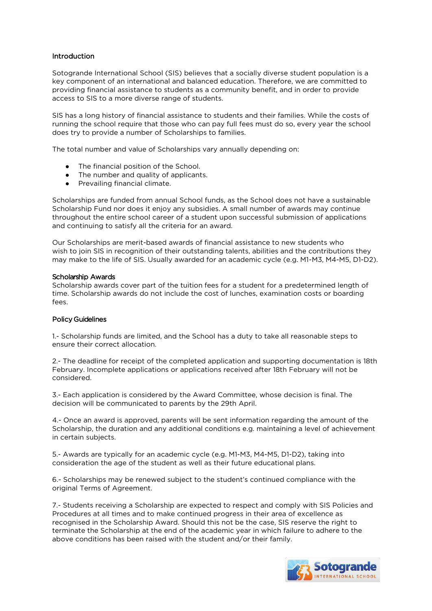#### Introduction

Sotogrande International School (SIS) believes that a socially diverse student population is a key component of an international and balanced education. Therefore, we are committed to providing financial assistance to students as a community benefit, and in order to provide access to SIS to a more diverse range of students.

SIS has a long history of financial assistance to students and their families. While the costs of running the school require that those who can pay full fees must do so, every year the school does try to provide a number of Scholarships to families.

The total number and value of Scholarships vary annually depending on:

- The financial position of the School.
- The number and quality of applicants.
- Prevailing financial climate.

Scholarships are funded from annual School funds, as the School does not have a sustainable Scholarship Fund nor does it enjoy any subsidies. A small number of awards may continue throughout the entire school career of a student upon successful submission of applications and continuing to satisfy all the criteria for an award.

Our Scholarships are merit-based awards of financial assistance to new students who wish to join SIS in recognition of their outstanding talents, abilities and the contributions they may make to the life of SIS. Usually awarded for an academic cycle (e.g. M1-M3, M4-M5, D1-D2).

#### Scholarship Awards

Scholarship awards cover part of the tuition fees for a student for a predetermined length of time. Scholarship awards do not include the cost of lunches, examination costs or boarding fees.

#### Policy Guidelines

1.- Scholarship funds are limited, and the School has a duty to take all reasonable steps to ensure their correct allocation.

2.- The deadline for receipt of the completed application and supporting documentation is 18th February. Incomplete applications or applications received after 18th February will not be considered.

3.- Each application is considered by the Award Committee, whose decision is final. The decision will be communicated to parents by the 29th April.

4.- Once an award is approved, parents will be sent information regarding the amount of the Scholarship, the duration and any additional conditions e.g. maintaining a level of achievement in certain subjects.

5.- Awards are typically for an academic cycle (e.g. M1-M3, M4-M5, D1-D2), taking into consideration the age of the student as well as their future educational plans.

6.- Scholarships may be renewed subject to the student's continued compliance with the original Terms of Agreement.

7.- Students receiving a Scholarship are expected to respect and comply with SIS Policies and Procedures at all times and to make continued progress in their area of excellence as recognised in the Scholarship Award. Should this not be the case, SIS reserve the right to terminate the Scholarship at the end of the academic year in which failure to adhere to the above conditions has been raised with the student and/or their family.

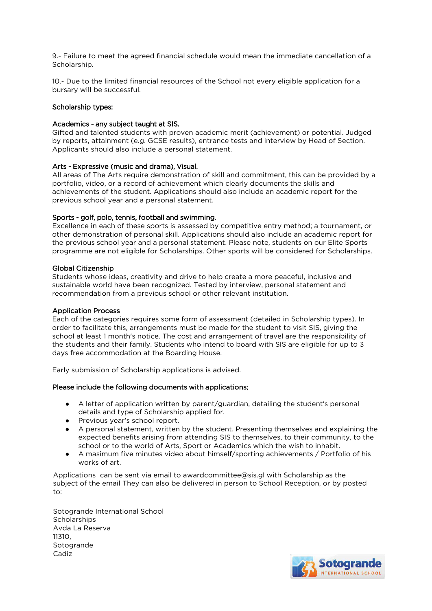9.- Failure to meet the agreed financial schedule would mean the immediate cancellation of a Scholarship.

10.- Due to the limited financial resources of the School not every eligible application for a bursary will be successful.

#### Scholarship types:

#### Academics - any subject taught at SIS.

Gifted and talented students with proven academic merit (achievement) or potential. Judged by reports, attainment (e.g. GCSE results), entrance tests and interview by Head of Section. Applicants should also include a personal statement.

#### Arts - Expressive (music and drama), Visual.

All areas of The Arts require demonstration of skill and commitment, this can be provided by a portfolio, video, or a record of achievement which clearly documents the skills and achievements of the student. Applications should also include an academic report for the previous school year and a personal statement.

#### Sports - golf, polo, tennis, football and swimming.

Excellence in each of these sports is assessed by competitive entry method; a tournament, or other demonstration of personal skill. Applications should also include an academic report for the previous school year and a personal statement. Please note, students on our Elite Sports programme are not eligible for Scholarships. Other sports will be considered for Scholarships.

#### Global Citizenship

Students whose ideas, creativity and drive to help create a more peaceful, inclusive and sustainable world have been recognized. Tested by interview, personal statement and recommendation from a previous school or other relevant institution.

#### Application Process

Each of the categories requires some form of assessment (detailed in Scholarship types). In order to facilitate this, arrangements must be made for the student to visit SIS, giving the school at least 1 month's notice. The cost and arrangement of travel are the responsibility of the students and their family. Students who intend to board with SIS are eligible for up to 3 days free accommodation at the Boarding House.

Early submission of Scholarship applications is advised.

#### Please include the following documents with applications;

- A letter of application written by parent/guardian, detailing the student's personal details and type of Scholarship applied for.
- Previous year's school report.
- A personal statement, written by the student. Presenting themselves and explaining the expected benefits arising from attending SIS to themselves, to their community, to the school or to the world of Arts, Sport or Academics which the wish to inhabit.
- A masimum five minutes video about himself/sporting achievements / Portfolio of his works of art.

Applications can be sent via email to awardcommittee@sis.gl with Scholarship as the subject of the email They can also be delivered in person to School Reception, or by posted to:

Sotogrande International School **Scholarships** Avda La Reserva 11310, Sotogrande Cadiz